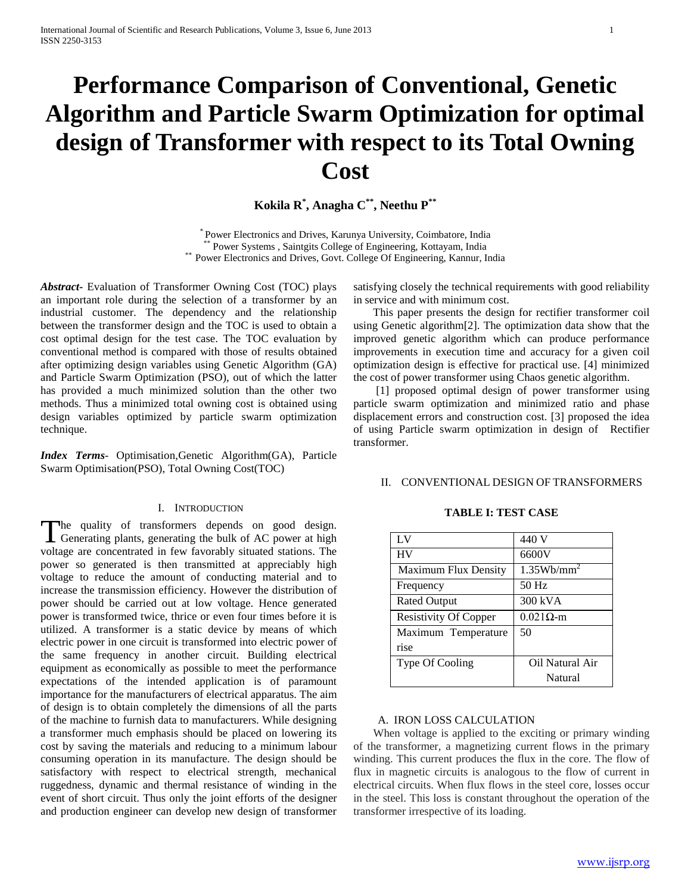# **Performance Comparison of Conventional, Genetic Algorithm and Particle Swarm Optimization for optimal design of Transformer with respect to its Total Owning Cost**

**Kokila R\* , Anagha C\*\* , Neethu P\*\***

\* Power Electronics and Drives, Karunya University, Coimbatore, India \*\* Power Systems , Saintgits College of Engineering, Kottayam, India \*\* Power Electronics and Drives, Govt. College Of Engineering, Kannur, India

*Abstract***-** Evaluation of Transformer Owning Cost (TOC) plays an important role during the selection of a transformer by an industrial customer. The dependency and the relationship between the transformer design and the TOC is used to obtain a cost optimal design for the test case. The TOC evaluation by conventional method is compared with those of results obtained after optimizing design variables using Genetic Algorithm (GA) and Particle Swarm Optimization (PSO), out of which the latter has provided a much minimized solution than the other two methods. Thus a minimized total owning cost is obtained using design variables optimized by particle swarm optimization technique.

*Index Terms*- Optimisation,Genetic Algorithm(GA), Particle Swarm Optimisation(PSO), Total Owning Cost(TOC)

#### I. INTRODUCTION

The quality of transformers depends on good design. The quality of transformers depends on good design.<br>
Generating plants, generating the bulk of AC power at high LV 440 V voltage are concentrated in few favorably situated stations. The power so generated is then transmitted at appreciably high voltage to reduce the amount of conducting material and to increase the transmission efficiency. However the distribution of power should be carried out at low voltage. Hence generated power is transformed twice, thrice or even four times before it is utilized. A transformer is a static device by means of which electric power in one circuit is transformed into electric power of the same frequency in another circuit. Building electrical equipment as economically as possible to meet the performance expectations of the intended application is of paramount importance for the manufacturers of electrical apparatus. The aim of design is to obtain completely the dimensions of all the parts of the machine to furnish data to manufacturers. While designing a transformer much emphasis should be placed on lowering its cost by saving the materials and reducing to a minimum labour consuming operation in its manufacture. The design should be satisfactory with respect to electrical strength, mechanical ruggedness, dynamic and thermal resistance of winding in the event of short circuit. Thus only the joint efforts of the designer and production engineer can develop new design of transformer

satisfying closely the technical requirements with good reliability in service and with minimum cost.

 This paper presents the design for rectifier transformer coil using Genetic algorithm[2]. The optimization data show that the improved genetic algorithm which can produce performance improvements in execution time and accuracy for a given coil optimization design is effective for practical use. [4] minimized the cost of power transformer using Chaos genetic algorithm.

 [1] proposed optimal design of power transformer using particle swarm optimization and minimized ratio and phase displacement errors and construction cost. [3] proposed the idea of using Particle swarm optimization in design of Rectifier transformer.

#### II. CONVENTIONAL DESIGN OF TRANSFORMERS

| LV                           | 440 V                 |
|------------------------------|-----------------------|
| <b>HV</b>                    | 6600V                 |
| <b>Maximum Flux Density</b>  | $1.35 \text{Wb/mm}^2$ |
| Frequency                    | $50$ Hz               |
| <b>Rated Output</b>          | 300 kVA               |
| <b>Resistivity Of Copper</b> | $0.021\Omega$ -m      |
| Maximum Temperature          | 50                    |
| rise                         |                       |
| Type Of Cooling              | Oil Natural Air       |
|                              | Natural               |

#### **TABLE I: TEST CASE**

#### A. IRON LOSS CALCULATION

 When voltage is applied to the exciting or primary winding of the transformer, a magnetizing current flows in the primary winding. This current produces the flux in the core. The flow of flux in magnetic circuits is analogous to the flow of current in electrical circuits. When flux flows in the steel core, losses occur in the steel. This loss is constant throughout the operation of the transformer irrespective of its loading.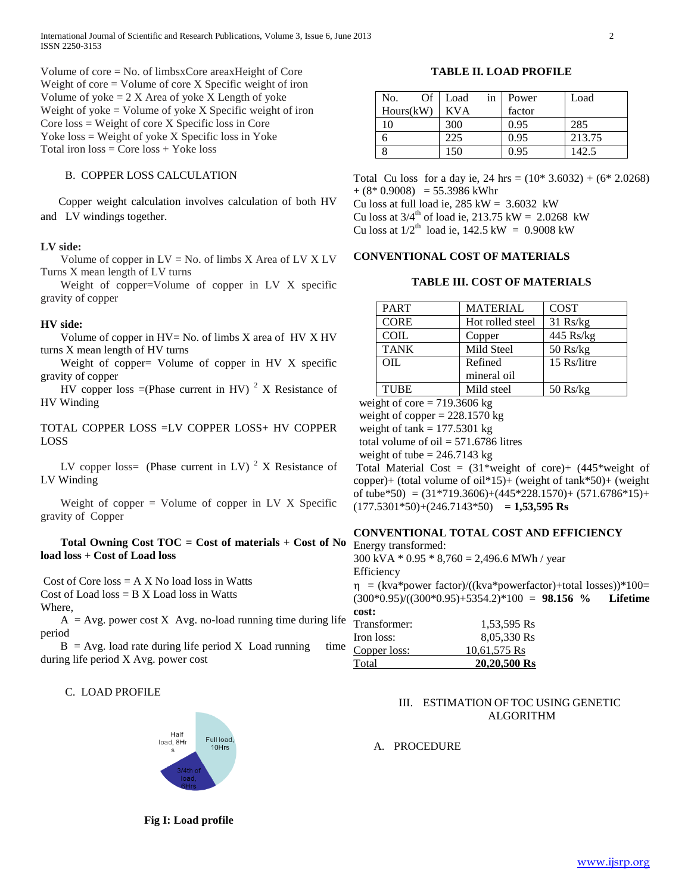Volume of core = No. of limbsxCore areaxHeight of Core Weight of core  $=$  Volume of core  $X$  Specific weight of iron Volume of yoke  $= 2 X$  Area of yoke X Length of yoke Weight of yoke  $=$  Volume of yoke  $X$  Specific weight of iron Core loss = Weight of core X Specific loss in Core Yoke loss = Weight of yoke X Specific loss in Yoke Total iron  $loss = Core loss + Yoke loss$ 

#### B. COPPER LOSS CALCULATION

 Copper weight calculation involves calculation of both HV and LV windings together.

#### **LV side:**

 Volume of copper in LV = No. of limbs X Area of LV X LV Turns X mean length of LV turns

 Weight of copper=Volume of copper in LV X specific gravity of copper

#### **HV side:**

Volume of copper in  $HV = No$ . of limbs X area of  $HV X HV$ turns X mean length of HV turns

Weight of copper= Volume of copper in HV X specific gravity of copper

HV copper loss =(Phase current in HV)  $2 \times$  Resistance of HV Winding

TOTAL COPPER LOSS =LV COPPER LOSS+ HV COPPER LOSS

LV copper loss= (Phase current in LV)  $2 \times$  Resistance of LV Winding

Weight of copper  $=$  Volume of copper in LV X Specific gravity of Copper

#### **Total Owning Cost TOC = Cost of materials + Cost of No load loss + Cost of Load loss**

Cost of Core  $loss = A X No load loss$  in Watts Cost of Load  $loss = B X$  Load loss in Watts

#### Where,

 $A = Avg.$  power cost X Avg. no-load running time during life period

 $B = Avg.$  load rate during life period X Load running time during life period X Avg. power cost

#### C. LOAD PROFILE



**Fig I: Load profile**

#### **TABLE II. LOAD PROFILE**

| No.<br>Of | Load<br>in | Power  | Load   |
|-----------|------------|--------|--------|
| Hours(kW) | <b>KVA</b> | factor |        |
| 10        | 300        | 0.95   | 285    |
|           | 225        | 0.95   | 213.75 |
| 8         | 150        | 0.95   | 142.5  |

Total Cu loss for a day ie,  $24 \text{ hrs} = (10^* 3.6032) + (6^* 2.0268)$  $+(8*0.9008) = 55.3986$  kWhr

Cu loss at full load ie,  $285 \text{ kW} = 3.6032 \text{ kW}$ 

Cu loss at  $3/4^{th}$  of load ie, 213.75 kW = 2.0268 kW

Cu loss at  $1/2^{th}$  load ie,  $142.5 \text{ kW} = 0.9008 \text{ kW}$ 

#### **CONVENTIONAL COST OF MATERIALS**

#### **TABLE III. COST OF MATERIALS**

| <b>PART</b> | <b>MATERIAL</b>  | <b>COST</b> |
|-------------|------------------|-------------|
| <b>CORE</b> | Hot rolled steel | $31$ Rs/kg  |
| <b>COIL</b> | Copper           | 445 Rs/kg   |
| <b>TANK</b> | Mild Steel       | $50$ Rs/kg  |
| OIL         | Refined          | 15 Rs/litre |
|             | mineral oil      |             |
| <b>TUBE</b> | Mild steel       | $50$ Rs/kg  |

weight of core  $= 719.3606$  kg

weight of copper  $= 228.1570$  kg

weight of tank  $= 177.5301$  kg

total volume of oil  $= 571.6786$  litres

weight of tube  $= 246.7143$  kg

Total Material Cost =  $(31)$ \*weight of core)+  $(445)$ \*weight of copper)+ (total volume of oil\*15)+ (weight of  $tanh*50$ )+ (weight of tube\*50) =  $(31*719.3606)+(445*228.1570)+(571.6786*15)+$  $(177.5301*50)+(246.7143*50) = 1,53,595$  Rs

#### **CONVENTIONAL TOTAL COST AND EFFICIENCY**

Energy transformed: 300 kVA  $*$  0.95  $*$  8,760 = 2,496.6 MWh / year **Efficiency** 

 $\eta$  = (kva\*power factor)/((kva\*powerfactor)+total losses))\*100= (300\*0.95)/((300\*0.95)+5354.2)\*100 = **98.156 % Lifetime cost:**

| Transformer: | 1,53,595 Rs  |
|--------------|--------------|
| Iron loss:   | 8,05,330 Rs  |
| Copper loss: | 10,61,575 Rs |
| Total        | 20,20,500 Rs |

#### III. ESTIMATION OF TOC USING GENETIC ALGORITHM

A. PROCEDURE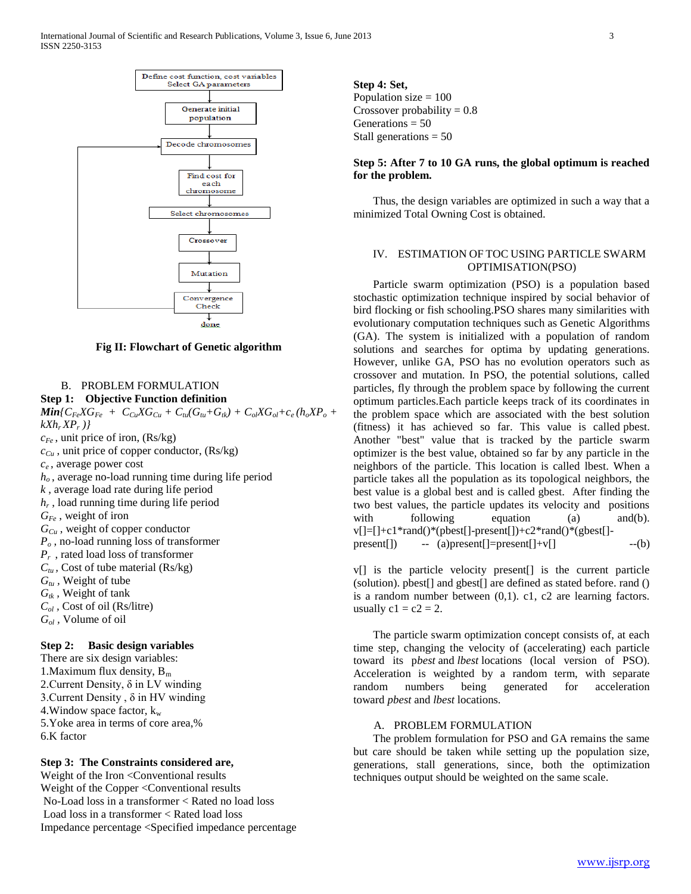



# **Fig II: Flowchart of Genetic algorithm**

done

#### B. PROBLEM FORMULATION

**Step 1: Objective Function definition**  $Min\{C_{Fe}XG_{Fe} + C_{Cu}XG_{Cu} + C_{tu}(G_{tu}+G_{tk}) + C_{ol}XG_{ol}+c_e(h_oXP_o +$ *kXhr XP<sup>r</sup> )} cFe* , unit price of iron, (Rs/kg)  $c_{Cu}$ , unit price of copper conductor, (Rs/kg) *ce* , average power cost  $h<sub>o</sub>$ , average no-load running time during life period *k* , average load rate during life period *hr* , load running time during life period *GFe* , weight of iron *GCu* , weight of copper conductor *P<sup>o</sup>* , no-load running loss of transformer *Pr* , rated load loss of transformer  $C_{tu}$ , Cost of tube material (Rs/kg)  $G_{t}$ , Weight of tube *Gtk ,* Weight of tank *Col ,* Cost of oil (Rs/litre) *Gol ,* Volume of oil **Step 2: Basic design variables** There are six design variables:

1. Maximum flux density,  $B_m$ 2. Current Density,  $\delta$  in LV winding 3. Current Density,  $\delta$  in HV winding 4. Window space factor,  $k_w$ 5.Yoke area in terms of core area,% 6.K factor

#### **Step 3: The Constraints considered are,**

Weight of the Iron <Conventional results Weight of the Copper <Conventional results No-Load loss in a transformer < Rated no load loss Load loss in a transformer < Rated load loss Impedance percentage <Specified impedance percentage **Step 4: Set,** Population size  $= 100$ Crossover probability  $= 0.8$ Generations  $= 50$ Stall generations = 50

#### **Step 5: After 7 to 10 GA runs, the global optimum is reached for the problem.**

 Thus, the design variables are optimized in such a way that a minimized Total Owning Cost is obtained.

#### IV. ESTIMATION OF TOC USING PARTICLE SWARM OPTIMISATION(PSO)

 Particle swarm optimization (PSO) is a population based stochastic optimization technique inspired by social behavior of bird flocking or fish schooling.PSO shares many similarities with evolutionary computation techniques such as Genetic Algorithms (GA). The system is initialized with a population of random solutions and searches for optima by updating generations. However, unlike GA, PSO has no evolution operators such as crossover and mutation. In PSO, the potential solutions, called particles, fly through the problem space by following the current optimum particles.Each particle keeps track of its coordinates in the problem space which are associated with the best solution (fitness) it has achieved so far. This value is called pbest. Another "best" value that is tracked by the particle swarm optimizer is the best value, obtained so far by any particle in the neighbors of the particle. This location is called lbest. When a particle takes all the population as its topological neighbors, the best value is a global best and is called gbest. After finding the two best values, the particle updates its velocity and positions with following equation (a) and(b). v[]=[]+c1\*rand()\*(pbest[]-present[])+c2\*rand()\*(gbest[] present[]) -- (a)present[]=present[]+v[] --(b)

v[] is the particle velocity present[] is the current particle (solution). pbest[] and gbest[] are defined as stated before. rand () is a random number between (0,1). c1, c2 are learning factors. usually  $c1 = c2 = 2$ .

 The particle swarm optimization concept consists of, at each time step, changing the velocity of (accelerating) each particle toward its p*best* and *lbest* locations (local version of PSO). Acceleration is weighted by a random term, with separate random numbers being generated for acceleration toward *pbest* and *lbest* locations.

#### A. PROBLEM FORMULATION

 The problem formulation for PSO and GA remains the same but care should be taken while setting up the population size, generations, stall generations, since, both the optimization techniques output should be weighted on the same scale.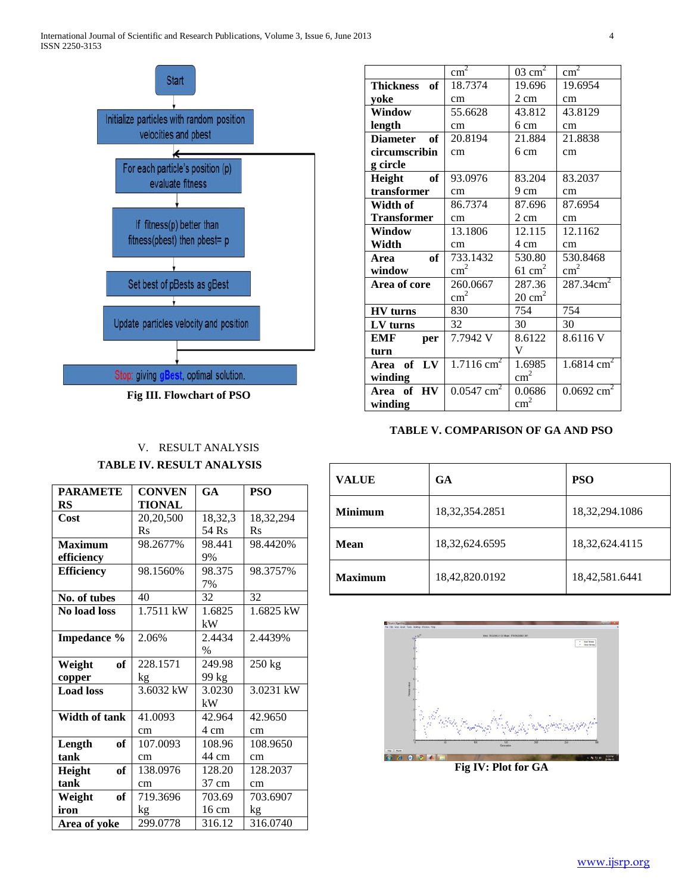

**Fig III. Flowchart of PSO**

## V. RESULT ANALYSIS **TABLE IV. RESULT ANALYSIS**

| <b>PARAMETE</b>      | <b>CONVEN</b> | GA              | PSO         |
|----------------------|---------------|-----------------|-------------|
| RS                   | <b>TIONAL</b> |                 |             |
| Cost                 | 20,20,500     | 18,32,3         | 18,32,294   |
|                      | $R_{S}$       | 54 Rs           | $R_{S}$     |
| <b>Maximum</b>       | 98.2677%      | 98.441          | 98.4420%    |
| efficiency           |               | 9%              |             |
| <b>Efficiency</b>    | 98.1560%      | 98.375          | 98.3757%    |
|                      |               | 7%              |             |
| No. of tubes         | 40            | 32              | 32          |
| No load loss         | 1.7511 kW     | 1.6825          | $1.6825$ kW |
|                      |               | kW              |             |
| <b>Impedance</b> %   | 2.06%         | 2.4434          | 2.4439%     |
|                      |               | $\%$            |             |
| of<br>Weight         | 228.1571      | 249.98          | $250$ kg    |
| copper               | kg            | 99 kg           |             |
| <b>Load</b> loss     | 3.6032 kW     | 3.0230          | 3.0231 kW   |
|                      |               | kW              |             |
| <b>Width of tank</b> | 41.0093       | 42.964          | 42.9650     |
|                      | cm            | 4 cm            | cm          |
| Length<br>of         | 107.0093      | 108.96          | 108.9650    |
| tank                 | cm            | 44 cm           | cm          |
| Height<br>of         | 138.0976      | 128.20          | 128.2037    |
| tank                 | cm            | 37 cm           | cm          |
| оf<br>Weight         | 719.3696      | 703.69          | 703.6907    |
| iron                 | kg            | $16 \text{ cm}$ | kg          |
| Area of yoke         | 299.0778      | 316.12          | 316.0740    |

|                        | $\overline{\text{cm}^2}$ | $03 \text{ cm}^2$ | $\text{cm}^2$            |
|------------------------|--------------------------|-------------------|--------------------------|
| <b>Thickness</b><br>of | 18.7374                  | 19.696            | 19.6954                  |
| yoke                   | cm                       | $2 \text{ cm}$    | cm                       |
| <b>Window</b>          | 55.6628                  | 43.812            | 43.8129                  |
| length                 | cm                       | 6 cm              | cm                       |
| <b>Diameter</b><br>of  | 20.8194                  | 21.884            | 21.8838                  |
| circumscribin          | cm                       | 6 cm              | cm                       |
| g circle               |                          |                   |                          |
| Height of              | 93.0976                  | 83.204            | 83.2037                  |
| transformer            | cm                       | 9 cm              | cm                       |
| Width of               | 86.7374                  | 87.696            | 87.6954                  |
| <b>Transformer</b>     | cm                       | 2 cm              | cm                       |
| Window                 | 13.1806                  | 12.115            | 12.1162                  |
| Width                  | cm                       | 4 cm              | cm                       |
| of<br>Area             | 733.1432                 | 530.80            | 530.8468                 |
| window                 | $\text{cm}^2$            | $61 \text{ cm}^2$ | $\text{cm}^2$            |
| Area of core           | 260.0667                 | 287.36            | 287.34cm <sup>2</sup>    |
|                        | $\text{cm}^2$            | $20 \text{ cm}^2$ |                          |
| <b>HV</b> turns        | 830                      | 754               | 754                      |
| LV turns               | 32                       | 30                | 30                       |
| EMF<br>per             | 7.7942 V                 | 8.6122            | 8.6116 V                 |
| turn                   |                          | V                 |                          |
| Area of LV             | $1.7116 \text{ cm}^2$    | 1.6985            | $1.6814$ cm <sup>2</sup> |
| winding                |                          | $\text{cm}^2$     |                          |
| Area of HV             | $0.0547$ cm <sup>2</sup> | 0.0686            | $0.0692$ cm <sup>2</sup> |
| winding                |                          | $\text{cm}^2$     |                          |

### **TABLE V. COMPARISON OF GA AND PSO**

| <b>VALUE</b>   | <b>GA</b>         | <b>PSO</b>        |
|----------------|-------------------|-------------------|
| <b>Minimum</b> | 18, 32, 354. 2851 | 18,32,294.1086    |
| <b>Mean</b>    | 18,32,624.6595    | 18, 32, 624. 4115 |
| <b>Maximum</b> | 18,42,820.0192    | 18,42,581.6441    |



**Fig IV: Plot for GA**